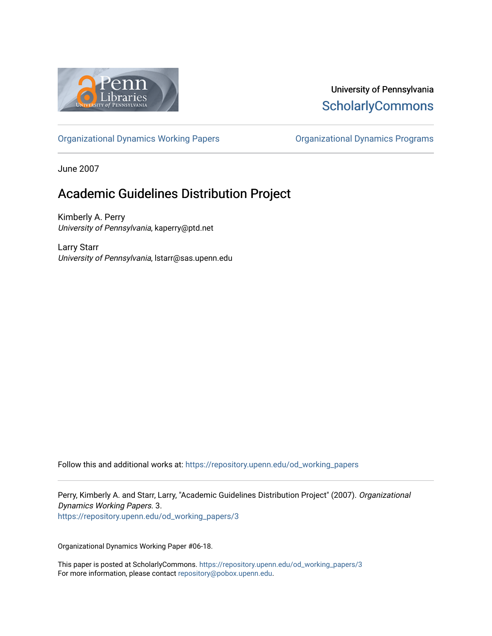

### University of Pennsylvania **ScholarlyCommons**

[Organizational Dynamics Working Papers](https://repository.upenn.edu/od_working_papers) [Organizational Dynamics Programs](https://repository.upenn.edu/organizational_dynamics) 

June 2007

# Academic Guidelines Distribution Project

Kimberly A. Perry University of Pennsylvania, kaperry@ptd.net

Larry Starr University of Pennsylvania, lstarr@sas.upenn.edu

Follow this and additional works at: [https://repository.upenn.edu/od\\_working\\_papers](https://repository.upenn.edu/od_working_papers?utm_source=repository.upenn.edu%2Fod_working_papers%2F3&utm_medium=PDF&utm_campaign=PDFCoverPages) 

Perry, Kimberly A. and Starr, Larry, "Academic Guidelines Distribution Project" (2007). Organizational Dynamics Working Papers. 3. [https://repository.upenn.edu/od\\_working\\_papers/3](https://repository.upenn.edu/od_working_papers/3?utm_source=repository.upenn.edu%2Fod_working_papers%2F3&utm_medium=PDF&utm_campaign=PDFCoverPages) 

Organizational Dynamics Working Paper #06-18.

This paper is posted at ScholarlyCommons. [https://repository.upenn.edu/od\\_working\\_papers/3](https://repository.upenn.edu/od_working_papers/3) For more information, please contact [repository@pobox.upenn.edu.](mailto:repository@pobox.upenn.edu)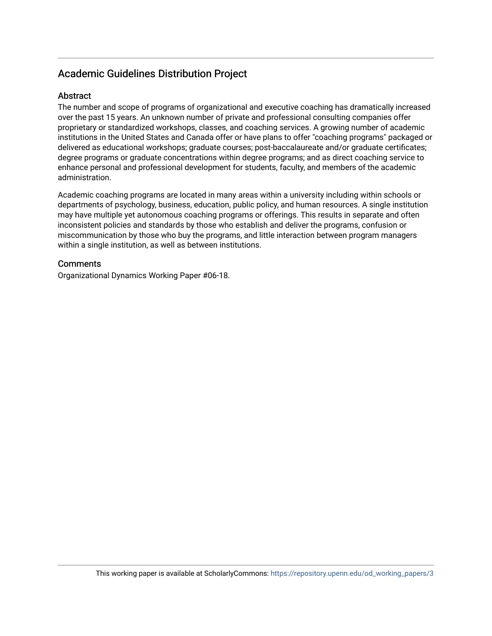### Academic Guidelines Distribution Project

#### **Abstract**

The number and scope of programs of organizational and executive coaching has dramatically increased over the past 15 years. An unknown number of private and professional consulting companies offer proprietary or standardized workshops, classes, and coaching services. A growing number of academic institutions in the United States and Canada offer or have plans to offer "coaching programs" packaged or delivered as educational workshops; graduate courses; post-baccalaureate and/or graduate certificates; degree programs or graduate concentrations within degree programs; and as direct coaching service to enhance personal and professional development for students, faculty, and members of the academic administration.

Academic coaching programs are located in many areas within a university including within schools or departments of psychology, business, education, public policy, and human resources. A single institution may have multiple yet autonomous coaching programs or offerings. This results in separate and often inconsistent policies and standards by those who establish and deliver the programs, confusion or miscommunication by those who buy the programs, and little interaction between program managers within a single institution, as well as between institutions.

#### **Comments**

Organizational Dynamics Working Paper #06-18.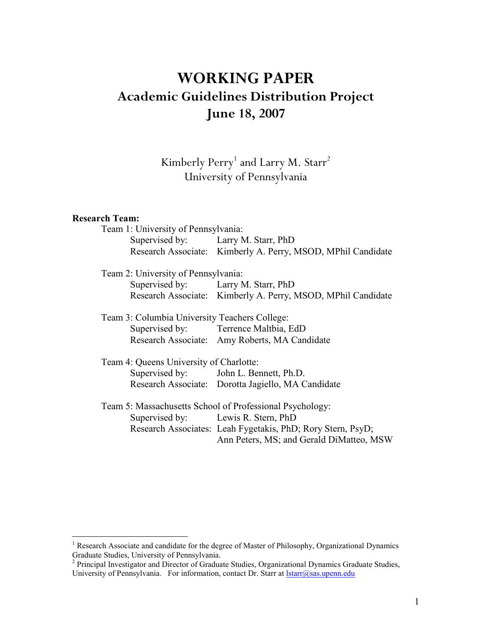# **WORKING PAPER Academic Guidelines Distribution Project June 18, 2007**

Kimberly Perry<sup>1</sup> and Larry M. Starr<sup>2</sup> University of Pennsylvania

#### **Research Team:**

| Team 1: University of Pennsylvania:           |                                                              |
|-----------------------------------------------|--------------------------------------------------------------|
| Supervised by: Larry M. Starr, PhD            |                                                              |
|                                               | Research Associate: Kimberly A. Perry, MSOD, MPhil Candidate |
| Team 2: University of Pennsylvania:           |                                                              |
| Supervised by: Larry M. Starr, PhD            |                                                              |
|                                               | Research Associate: Kimberly A. Perry, MSOD, MPhil Candidate |
| Team 3: Columbia University Teachers College: |                                                              |
|                                               | Supervised by: Terrence Maltbia, EdD                         |
|                                               | Research Associate: Amy Roberts, MA Candidate                |
| Team 4: Queens University of Charlotte:       |                                                              |
|                                               | Supervised by: John L. Bennett, Ph.D.                        |
|                                               | Research Associate: Dorotta Jagiello, MA Candidate           |
|                                               | Team 5: Massachusetts School of Professional Psychology:     |
| Supervised by: Lewis R. Stern, PhD            |                                                              |
|                                               | Research Associates: Leah Fygetakis, PhD; Rory Stern, PsyD;  |
|                                               | Ann Peters, MS; and Gerald DiMatteo, MSW                     |

<sup>&</sup>lt;sup>1</sup> Research Associate and candidate for the degree of Master of Philosophy, Organizational Dynamics Graduate Studies, University of Pennsylvania.

 $2$  Principal Investigator and Director of Graduate Studies, Organizational Dynamics Graduate Studies, University of Pennsylvania. For information, contact Dr. Starr at *Istarr@sas.upenn.edu*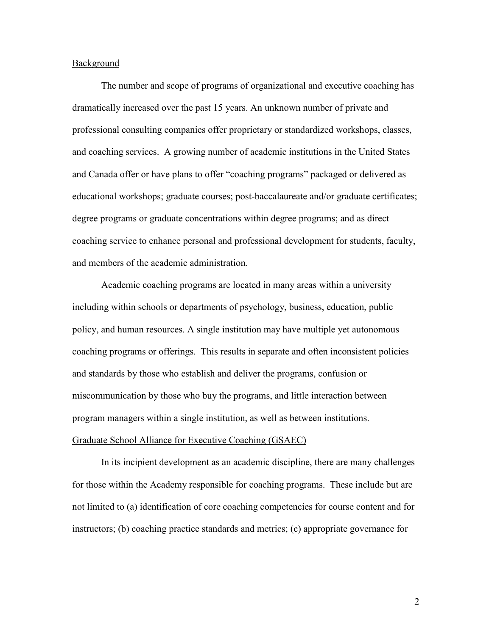#### Background

The number and scope of programs of organizational and executive coaching has dramatically increased over the past 15 years. An unknown number of private and professional consulting companies offer proprietary or standardized workshops, classes, and coaching services. A growing number of academic institutions in the United States and Canada offer or have plans to offer "coaching programs" packaged or delivered as educational workshops; graduate courses; post-baccalaureate and/or graduate certificates; degree programs or graduate concentrations within degree programs; and as direct coaching service to enhance personal and professional development for students, faculty, and members of the academic administration.

Academic coaching programs are located in many areas within a university including within schools or departments of psychology, business, education, public policy, and human resources. A single institution may have multiple yet autonomous coaching programs or offerings. This results in separate and often inconsistent policies and standards by those who establish and deliver the programs, confusion or miscommunication by those who buy the programs, and little interaction between program managers within a single institution, as well as between institutions.

#### Graduate School Alliance for Executive Coaching (GSAEC)

In its incipient development as an academic discipline, there are many challenges for those within the Academy responsible for coaching programs. These include but are not limited to (a) identification of core coaching competencies for course content and for instructors; (b) coaching practice standards and metrics; (c) appropriate governance for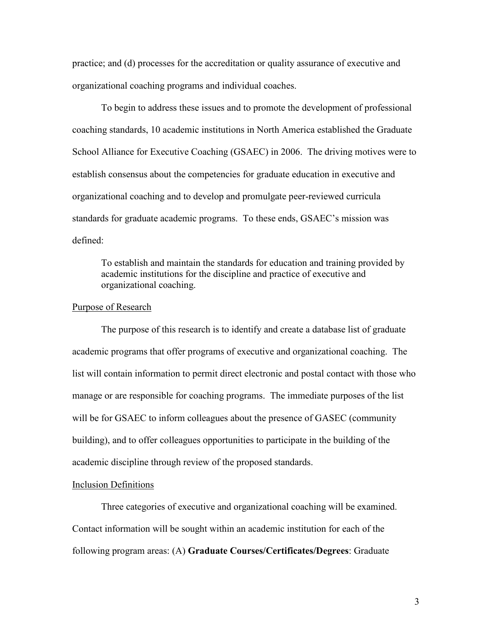practice; and (d) processes for the accreditation or quality assurance of executive and organizational coaching programs and individual coaches.

To begin to address these issues and to promote the development of professional coaching standards, 10 academic institutions in North America established the Graduate School Alliance for Executive Coaching (GSAEC) in 2006. The driving motives were to establish consensus about the competencies for graduate education in executive and organizational coaching and to develop and promulgate peer-reviewed curricula standards for graduate academic programs. To these ends, GSAEC's mission was defined:

To establish and maintain the standards for education and training provided by academic institutions for the discipline and practice of executive and organizational coaching.

#### Purpose of Research

The purpose of this research is to identify and create a database list of graduate academic programs that offer programs of executive and organizational coaching. The list will contain information to permit direct electronic and postal contact with those who manage or are responsible for coaching programs. The immediate purposes of the list will be for GSAEC to inform colleagues about the presence of GASEC (community building), and to offer colleagues opportunities to participate in the building of the academic discipline through review of the proposed standards.

#### Inclusion Definitions

Three categories of executive and organizational coaching will be examined. Contact information will be sought within an academic institution for each of the following program areas: (A) **Graduate Courses/Certificates/Degrees**: Graduate

3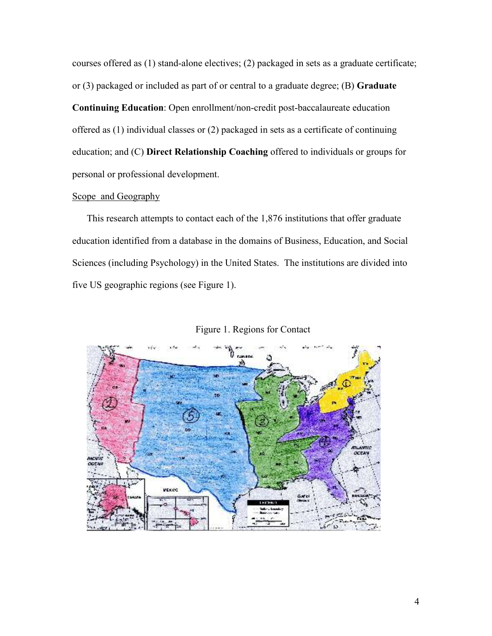courses offered as (1) stand-alone electives; (2) packaged in sets as a graduate certificate; or (3) packaged or included as part of or central to a graduate degree; (B) **Graduate** 

**Continuing Education**: Open enrollment/non-credit post-baccalaureate education offered as (1) individual classes or (2) packaged in sets as a certificate of continuing education; and (C) **Direct Relationship Coaching** offered to individuals or groups for personal or professional development.

#### Scope and Geography

This research attempts to contact each of the 1,876 institutions that offer graduate education identified from a database in the domains of Business, Education, and Social Sciences (including Psychology) in the United States. The institutions are divided into five US geographic regions (see Figure 1).



Figure 1. Regions for Contact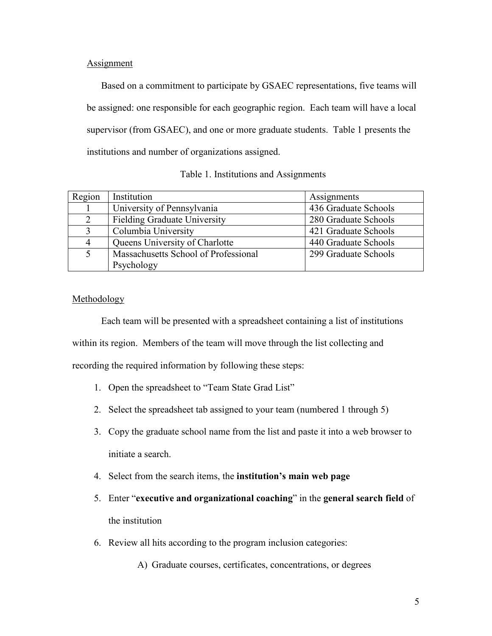#### Assignment

Based on a commitment to participate by GSAEC representations, five teams will be assigned: one responsible for each geographic region. Each team will have a local supervisor (from GSAEC), and one or more graduate students. Table 1 presents the institutions and number of organizations assigned.

| Region         | Institution                          | Assignments          |
|----------------|--------------------------------------|----------------------|
|                | University of Pennsylvania           | 436 Graduate Schools |
| $\overline{2}$ | <b>Fielding Graduate University</b>  | 280 Graduate Schools |
| 3              | Columbia University                  | 421 Graduate Schools |
| $\overline{4}$ | Queens University of Charlotte       | 440 Graduate Schools |
|                | Massachusetts School of Professional | 299 Graduate Schools |
|                | Psychology                           |                      |

#### Methodology

Each team will be presented with a spreadsheet containing a list of institutions within its region. Members of the team will move through the list collecting and recording the required information by following these steps:

- 1. Open the spreadsheet to "Team State Grad List"
- 2. Select the spreadsheet tab assigned to your team (numbered 1 through 5)
- 3. Copy the graduate school name from the list and paste it into a web browser to initiate a search.
- 4. Select from the search items, the **institution's main web page**
- 5. Enter "**executive and organizational coaching**" in the **general search field** of the institution
- 6. Review all hits according to the program inclusion categories:
	- A) Graduate courses, certificates, concentrations, or degrees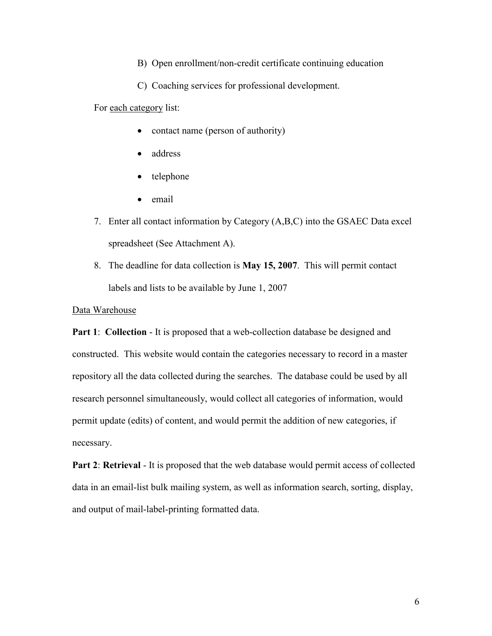B) Open enrollment/non-credit certificate continuing education

C) Coaching services for professional development.

For each category list:

- contact name (person of authority)
- address
- telephone
- email
- 7. Enter all contact information by Category (A,B,C) into the GSAEC Data excel spreadsheet (See Attachment A).
- 8. The deadline for data collection is **May 15, 2007**. This will permit contact labels and lists to be available by June 1, 2007

#### Data Warehouse

**Part 1: Collection - It is proposed that a web-collection database be designed and** constructed. This website would contain the categories necessary to record in a master repository all the data collected during the searches. The database could be used by all research personnel simultaneously, would collect all categories of information, would permit update (edits) of content, and would permit the addition of new categories, if necessary.

**Part 2: Retrieval** - It is proposed that the web database would permit access of collected data in an email-list bulk mailing system, as well as information search, sorting, display, and output of mail-label-printing formatted data.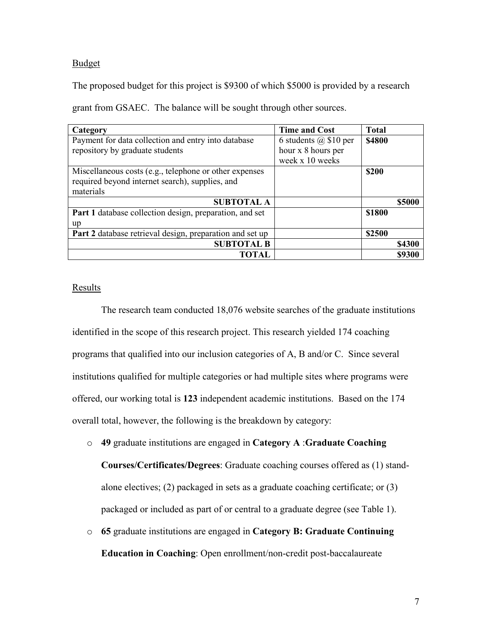#### Budget

The proposed budget for this project is \$9300 of which \$5000 is provided by a research

grant from GSAEC. The balance will be sought through other sources.

| Category                                                 | <b>Time and Cost</b>      | <b>Total</b>  |               |
|----------------------------------------------------------|---------------------------|---------------|---------------|
| Payment for data collection and entry into database      | 6 students $(a)$ \$10 per | <b>\$4800</b> |               |
| repository by graduate students                          | hour x 8 hours per        |               |               |
|                                                          | week x 10 weeks           |               |               |
| Miscellaneous costs (e.g., telephone or other expenses   |                           | \$200         |               |
| required beyond internet search), supplies, and          |                           |               |               |
| materials                                                |                           |               |               |
| <b>SUBTOTAL A</b>                                        |                           |               | \$5000        |
| Part 1 database collection design, preparation, and set  |                           | \$1800        |               |
| up                                                       |                           |               |               |
| Part 2 database retrieval design, preparation and set up |                           | \$2500        |               |
| <b>SUBTOTAL B</b>                                        |                           |               | <b>\$4300</b> |
| TOTAL                                                    |                           |               | \$9300        |

#### Results

The research team conducted 18,076 website searches of the graduate institutions identified in the scope of this research project. This research yielded 174 coaching programs that qualified into our inclusion categories of A, B and/or C. Since several institutions qualified for multiple categories or had multiple sites where programs were offered, our working total is **123** independent academic institutions. Based on the 174 overall total, however, the following is the breakdown by category:

o **49** graduate institutions are engaged in **Category A** :**Graduate Coaching** 

**Courses/Certificates/Degrees**: Graduate coaching courses offered as (1) standalone electives; (2) packaged in sets as a graduate coaching certificate; or (3) packaged or included as part of or central to a graduate degree (see Table 1).

o **65** graduate institutions are engaged in **Category B: Graduate Continuing Education in Coaching**: Open enrollment/non-credit post-baccalaureate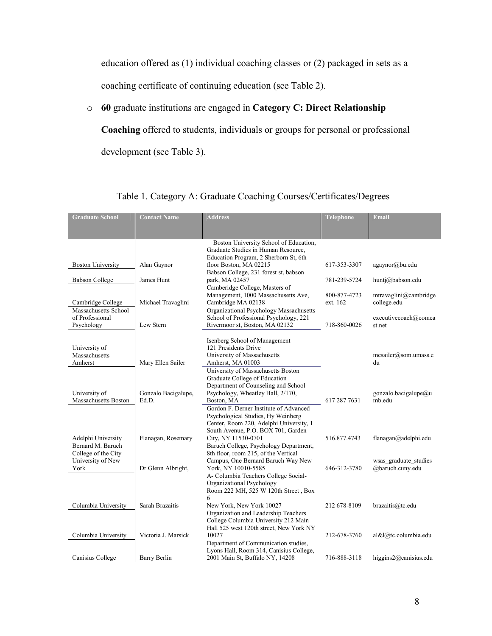education offered as (1) individual coaching classes or (2) packaged in sets as a coaching certificate of continuing education (see Table 2).

### o **60** graduate institutions are engaged in **Category C: Direct Relationship**

**Coaching** offered to students, individuals or groups for personal or professional development (see Table 3).

| Boston University School of Education,<br>Graduate Studies in Human Resource,<br>Education Program, 2 Sherborn St, 6th<br>floor Boston, MA 02215<br>Alan Gaynor<br>agaynor@bu.edu<br><b>Boston University</b><br>617-353-3307<br>Babson College, 231 forest st, babson<br><b>Babson College</b><br>James Hunt<br>park, MA 02457<br>781-239-5724<br>huntj@babson.edu<br>Camberidge College, Masters of<br>Management, 1000 Massachusetts Ave,<br>mtravaglini@cambridge<br>800-877-4723<br>Cambridge MA 02138<br>college.edu<br>Cambridge College<br>Michael Travaglini<br>ext. 162<br>Massachusetts School<br>Organizational Psychology Massachusetts<br>of Professional<br>School of Professional Psychology, 221<br>executivecoach@comca<br>Lew Stern<br>Rivermoor st, Boston, MA 02132<br>Psychology<br>718-860-0026<br>st.net<br>Isenberg School of Management<br>121 Presidents Drive<br>University of<br>Massachusetts<br>University of Massachusetts<br>mesailer@som.umass.e<br>Amherst<br>Mary Ellen Sailer<br>Amherst, MA 01003<br>du<br>University of Massachusetts Boston<br>Graduate College of Education<br>Department of Counseling and School<br>University of<br>Gonzalo Bacigalupe,<br>Psychology, Wheatley Hall, 2/170,<br>gonzalo.bacigalupe@u<br>617 287 7631<br>Massachusetts Boston<br>Ed.D.<br>Boston, MA<br>mb.edu<br>Gordon F. Derner Institute of Advanced<br>Psychological Studies, Hy Weinberg<br>Center, Room 220, Adelphi University, 1<br>South Avenue, P.O. BOX 701, Garden<br>Flanagan, Rosemary<br>City, NY 11530-0701<br>516.877.4743<br>Adelphi University<br>flanagan@adelphi.edu<br>Bernard M. Baruch<br>Baruch College, Psychology Department,<br>8th floor, room 215, of the Vertical<br>College of the City<br>University of New<br>Campus, One Bernard Baruch Way New<br>wsas graduate studies<br>York, NY 10010-5585<br>@baruch.cuny.edu<br>York<br>Dr Glenn Albright,<br>646-312-3780<br>A- Columbia Teachers College Social-<br>Organizational Psychology<br>Room 222 MH, 525 W 120th Street, Box<br>6<br>Sarah Brazaitis<br>New York, New York 10027<br>Columbia University<br>212 678-8109<br>brazaitis@tc.edu<br>Organization and Leadership Teachers<br>College Columbia University 212 Main<br>Hall 525 west 120th street, New York NY<br>Victoria J. Marsick<br>10027<br>Columbia University<br>212-678-3760<br>al&l@tc.columbia.edu<br>Department of Communication studies,<br>Lyons Hall, Room 314, Canisius College, | <b>Graduate School</b> | <b>Contact Name</b> | <b>Address</b>                  | Telephone    | <b>Email</b>              |
|---------------------------------------------------------------------------------------------------------------------------------------------------------------------------------------------------------------------------------------------------------------------------------------------------------------------------------------------------------------------------------------------------------------------------------------------------------------------------------------------------------------------------------------------------------------------------------------------------------------------------------------------------------------------------------------------------------------------------------------------------------------------------------------------------------------------------------------------------------------------------------------------------------------------------------------------------------------------------------------------------------------------------------------------------------------------------------------------------------------------------------------------------------------------------------------------------------------------------------------------------------------------------------------------------------------------------------------------------------------------------------------------------------------------------------------------------------------------------------------------------------------------------------------------------------------------------------------------------------------------------------------------------------------------------------------------------------------------------------------------------------------------------------------------------------------------------------------------------------------------------------------------------------------------------------------------------------------------------------------------------------------------------------------------------------------------------------------------------------------------------------------------------------------------------------------------------------------------------------------------------------------------------------------------------------------------------------------------------------------------------------------------------------------------------------------------------------------------------|------------------------|---------------------|---------------------------------|--------------|---------------------------|
|                                                                                                                                                                                                                                                                                                                                                                                                                                                                                                                                                                                                                                                                                                                                                                                                                                                                                                                                                                                                                                                                                                                                                                                                                                                                                                                                                                                                                                                                                                                                                                                                                                                                                                                                                                                                                                                                                                                                                                                                                                                                                                                                                                                                                                                                                                                                                                                                                                                                           |                        |                     |                                 |              |                           |
|                                                                                                                                                                                                                                                                                                                                                                                                                                                                                                                                                                                                                                                                                                                                                                                                                                                                                                                                                                                                                                                                                                                                                                                                                                                                                                                                                                                                                                                                                                                                                                                                                                                                                                                                                                                                                                                                                                                                                                                                                                                                                                                                                                                                                                                                                                                                                                                                                                                                           |                        |                     |                                 |              |                           |
|                                                                                                                                                                                                                                                                                                                                                                                                                                                                                                                                                                                                                                                                                                                                                                                                                                                                                                                                                                                                                                                                                                                                                                                                                                                                                                                                                                                                                                                                                                                                                                                                                                                                                                                                                                                                                                                                                                                                                                                                                                                                                                                                                                                                                                                                                                                                                                                                                                                                           |                        |                     |                                 |              |                           |
|                                                                                                                                                                                                                                                                                                                                                                                                                                                                                                                                                                                                                                                                                                                                                                                                                                                                                                                                                                                                                                                                                                                                                                                                                                                                                                                                                                                                                                                                                                                                                                                                                                                                                                                                                                                                                                                                                                                                                                                                                                                                                                                                                                                                                                                                                                                                                                                                                                                                           |                        |                     |                                 |              |                           |
|                                                                                                                                                                                                                                                                                                                                                                                                                                                                                                                                                                                                                                                                                                                                                                                                                                                                                                                                                                                                                                                                                                                                                                                                                                                                                                                                                                                                                                                                                                                                                                                                                                                                                                                                                                                                                                                                                                                                                                                                                                                                                                                                                                                                                                                                                                                                                                                                                                                                           |                        |                     |                                 |              |                           |
|                                                                                                                                                                                                                                                                                                                                                                                                                                                                                                                                                                                                                                                                                                                                                                                                                                                                                                                                                                                                                                                                                                                                                                                                                                                                                                                                                                                                                                                                                                                                                                                                                                                                                                                                                                                                                                                                                                                                                                                                                                                                                                                                                                                                                                                                                                                                                                                                                                                                           |                        |                     |                                 |              |                           |
|                                                                                                                                                                                                                                                                                                                                                                                                                                                                                                                                                                                                                                                                                                                                                                                                                                                                                                                                                                                                                                                                                                                                                                                                                                                                                                                                                                                                                                                                                                                                                                                                                                                                                                                                                                                                                                                                                                                                                                                                                                                                                                                                                                                                                                                                                                                                                                                                                                                                           |                        |                     |                                 |              |                           |
|                                                                                                                                                                                                                                                                                                                                                                                                                                                                                                                                                                                                                                                                                                                                                                                                                                                                                                                                                                                                                                                                                                                                                                                                                                                                                                                                                                                                                                                                                                                                                                                                                                                                                                                                                                                                                                                                                                                                                                                                                                                                                                                                                                                                                                                                                                                                                                                                                                                                           |                        |                     |                                 |              |                           |
|                                                                                                                                                                                                                                                                                                                                                                                                                                                                                                                                                                                                                                                                                                                                                                                                                                                                                                                                                                                                                                                                                                                                                                                                                                                                                                                                                                                                                                                                                                                                                                                                                                                                                                                                                                                                                                                                                                                                                                                                                                                                                                                                                                                                                                                                                                                                                                                                                                                                           |                        |                     |                                 |              |                           |
|                                                                                                                                                                                                                                                                                                                                                                                                                                                                                                                                                                                                                                                                                                                                                                                                                                                                                                                                                                                                                                                                                                                                                                                                                                                                                                                                                                                                                                                                                                                                                                                                                                                                                                                                                                                                                                                                                                                                                                                                                                                                                                                                                                                                                                                                                                                                                                                                                                                                           |                        |                     |                                 |              |                           |
|                                                                                                                                                                                                                                                                                                                                                                                                                                                                                                                                                                                                                                                                                                                                                                                                                                                                                                                                                                                                                                                                                                                                                                                                                                                                                                                                                                                                                                                                                                                                                                                                                                                                                                                                                                                                                                                                                                                                                                                                                                                                                                                                                                                                                                                                                                                                                                                                                                                                           |                        |                     |                                 |              |                           |
|                                                                                                                                                                                                                                                                                                                                                                                                                                                                                                                                                                                                                                                                                                                                                                                                                                                                                                                                                                                                                                                                                                                                                                                                                                                                                                                                                                                                                                                                                                                                                                                                                                                                                                                                                                                                                                                                                                                                                                                                                                                                                                                                                                                                                                                                                                                                                                                                                                                                           |                        |                     |                                 |              |                           |
|                                                                                                                                                                                                                                                                                                                                                                                                                                                                                                                                                                                                                                                                                                                                                                                                                                                                                                                                                                                                                                                                                                                                                                                                                                                                                                                                                                                                                                                                                                                                                                                                                                                                                                                                                                                                                                                                                                                                                                                                                                                                                                                                                                                                                                                                                                                                                                                                                                                                           |                        |                     |                                 |              |                           |
|                                                                                                                                                                                                                                                                                                                                                                                                                                                                                                                                                                                                                                                                                                                                                                                                                                                                                                                                                                                                                                                                                                                                                                                                                                                                                                                                                                                                                                                                                                                                                                                                                                                                                                                                                                                                                                                                                                                                                                                                                                                                                                                                                                                                                                                                                                                                                                                                                                                                           |                        |                     |                                 |              |                           |
|                                                                                                                                                                                                                                                                                                                                                                                                                                                                                                                                                                                                                                                                                                                                                                                                                                                                                                                                                                                                                                                                                                                                                                                                                                                                                                                                                                                                                                                                                                                                                                                                                                                                                                                                                                                                                                                                                                                                                                                                                                                                                                                                                                                                                                                                                                                                                                                                                                                                           |                        |                     |                                 |              |                           |
|                                                                                                                                                                                                                                                                                                                                                                                                                                                                                                                                                                                                                                                                                                                                                                                                                                                                                                                                                                                                                                                                                                                                                                                                                                                                                                                                                                                                                                                                                                                                                                                                                                                                                                                                                                                                                                                                                                                                                                                                                                                                                                                                                                                                                                                                                                                                                                                                                                                                           |                        |                     |                                 |              |                           |
|                                                                                                                                                                                                                                                                                                                                                                                                                                                                                                                                                                                                                                                                                                                                                                                                                                                                                                                                                                                                                                                                                                                                                                                                                                                                                                                                                                                                                                                                                                                                                                                                                                                                                                                                                                                                                                                                                                                                                                                                                                                                                                                                                                                                                                                                                                                                                                                                                                                                           |                        |                     |                                 |              |                           |
|                                                                                                                                                                                                                                                                                                                                                                                                                                                                                                                                                                                                                                                                                                                                                                                                                                                                                                                                                                                                                                                                                                                                                                                                                                                                                                                                                                                                                                                                                                                                                                                                                                                                                                                                                                                                                                                                                                                                                                                                                                                                                                                                                                                                                                                                                                                                                                                                                                                                           |                        |                     |                                 |              |                           |
|                                                                                                                                                                                                                                                                                                                                                                                                                                                                                                                                                                                                                                                                                                                                                                                                                                                                                                                                                                                                                                                                                                                                                                                                                                                                                                                                                                                                                                                                                                                                                                                                                                                                                                                                                                                                                                                                                                                                                                                                                                                                                                                                                                                                                                                                                                                                                                                                                                                                           |                        |                     |                                 |              |                           |
|                                                                                                                                                                                                                                                                                                                                                                                                                                                                                                                                                                                                                                                                                                                                                                                                                                                                                                                                                                                                                                                                                                                                                                                                                                                                                                                                                                                                                                                                                                                                                                                                                                                                                                                                                                                                                                                                                                                                                                                                                                                                                                                                                                                                                                                                                                                                                                                                                                                                           |                        |                     |                                 |              |                           |
|                                                                                                                                                                                                                                                                                                                                                                                                                                                                                                                                                                                                                                                                                                                                                                                                                                                                                                                                                                                                                                                                                                                                                                                                                                                                                                                                                                                                                                                                                                                                                                                                                                                                                                                                                                                                                                                                                                                                                                                                                                                                                                                                                                                                                                                                                                                                                                                                                                                                           |                        |                     |                                 |              |                           |
|                                                                                                                                                                                                                                                                                                                                                                                                                                                                                                                                                                                                                                                                                                                                                                                                                                                                                                                                                                                                                                                                                                                                                                                                                                                                                                                                                                                                                                                                                                                                                                                                                                                                                                                                                                                                                                                                                                                                                                                                                                                                                                                                                                                                                                                                                                                                                                                                                                                                           |                        |                     |                                 |              |                           |
|                                                                                                                                                                                                                                                                                                                                                                                                                                                                                                                                                                                                                                                                                                                                                                                                                                                                                                                                                                                                                                                                                                                                                                                                                                                                                                                                                                                                                                                                                                                                                                                                                                                                                                                                                                                                                                                                                                                                                                                                                                                                                                                                                                                                                                                                                                                                                                                                                                                                           |                        |                     |                                 |              |                           |
|                                                                                                                                                                                                                                                                                                                                                                                                                                                                                                                                                                                                                                                                                                                                                                                                                                                                                                                                                                                                                                                                                                                                                                                                                                                                                                                                                                                                                                                                                                                                                                                                                                                                                                                                                                                                                                                                                                                                                                                                                                                                                                                                                                                                                                                                                                                                                                                                                                                                           |                        |                     |                                 |              |                           |
|                                                                                                                                                                                                                                                                                                                                                                                                                                                                                                                                                                                                                                                                                                                                                                                                                                                                                                                                                                                                                                                                                                                                                                                                                                                                                                                                                                                                                                                                                                                                                                                                                                                                                                                                                                                                                                                                                                                                                                                                                                                                                                                                                                                                                                                                                                                                                                                                                                                                           |                        |                     |                                 |              |                           |
|                                                                                                                                                                                                                                                                                                                                                                                                                                                                                                                                                                                                                                                                                                                                                                                                                                                                                                                                                                                                                                                                                                                                                                                                                                                                                                                                                                                                                                                                                                                                                                                                                                                                                                                                                                                                                                                                                                                                                                                                                                                                                                                                                                                                                                                                                                                                                                                                                                                                           |                        |                     |                                 |              |                           |
|                                                                                                                                                                                                                                                                                                                                                                                                                                                                                                                                                                                                                                                                                                                                                                                                                                                                                                                                                                                                                                                                                                                                                                                                                                                                                                                                                                                                                                                                                                                                                                                                                                                                                                                                                                                                                                                                                                                                                                                                                                                                                                                                                                                                                                                                                                                                                                                                                                                                           |                        |                     |                                 |              |                           |
|                                                                                                                                                                                                                                                                                                                                                                                                                                                                                                                                                                                                                                                                                                                                                                                                                                                                                                                                                                                                                                                                                                                                                                                                                                                                                                                                                                                                                                                                                                                                                                                                                                                                                                                                                                                                                                                                                                                                                                                                                                                                                                                                                                                                                                                                                                                                                                                                                                                                           |                        |                     |                                 |              |                           |
|                                                                                                                                                                                                                                                                                                                                                                                                                                                                                                                                                                                                                                                                                                                                                                                                                                                                                                                                                                                                                                                                                                                                                                                                                                                                                                                                                                                                                                                                                                                                                                                                                                                                                                                                                                                                                                                                                                                                                                                                                                                                                                                                                                                                                                                                                                                                                                                                                                                                           |                        |                     |                                 |              |                           |
|                                                                                                                                                                                                                                                                                                                                                                                                                                                                                                                                                                                                                                                                                                                                                                                                                                                                                                                                                                                                                                                                                                                                                                                                                                                                                                                                                                                                                                                                                                                                                                                                                                                                                                                                                                                                                                                                                                                                                                                                                                                                                                                                                                                                                                                                                                                                                                                                                                                                           |                        |                     |                                 |              |                           |
|                                                                                                                                                                                                                                                                                                                                                                                                                                                                                                                                                                                                                                                                                                                                                                                                                                                                                                                                                                                                                                                                                                                                                                                                                                                                                                                                                                                                                                                                                                                                                                                                                                                                                                                                                                                                                                                                                                                                                                                                                                                                                                                                                                                                                                                                                                                                                                                                                                                                           |                        |                     |                                 |              |                           |
|                                                                                                                                                                                                                                                                                                                                                                                                                                                                                                                                                                                                                                                                                                                                                                                                                                                                                                                                                                                                                                                                                                                                                                                                                                                                                                                                                                                                                                                                                                                                                                                                                                                                                                                                                                                                                                                                                                                                                                                                                                                                                                                                                                                                                                                                                                                                                                                                                                                                           |                        |                     |                                 |              |                           |
|                                                                                                                                                                                                                                                                                                                                                                                                                                                                                                                                                                                                                                                                                                                                                                                                                                                                                                                                                                                                                                                                                                                                                                                                                                                                                                                                                                                                                                                                                                                                                                                                                                                                                                                                                                                                                                                                                                                                                                                                                                                                                                                                                                                                                                                                                                                                                                                                                                                                           |                        |                     |                                 |              |                           |
|                                                                                                                                                                                                                                                                                                                                                                                                                                                                                                                                                                                                                                                                                                                                                                                                                                                                                                                                                                                                                                                                                                                                                                                                                                                                                                                                                                                                                                                                                                                                                                                                                                                                                                                                                                                                                                                                                                                                                                                                                                                                                                                                                                                                                                                                                                                                                                                                                                                                           |                        |                     |                                 |              |                           |
|                                                                                                                                                                                                                                                                                                                                                                                                                                                                                                                                                                                                                                                                                                                                                                                                                                                                                                                                                                                                                                                                                                                                                                                                                                                                                                                                                                                                                                                                                                                                                                                                                                                                                                                                                                                                                                                                                                                                                                                                                                                                                                                                                                                                                                                                                                                                                                                                                                                                           |                        |                     |                                 |              |                           |
|                                                                                                                                                                                                                                                                                                                                                                                                                                                                                                                                                                                                                                                                                                                                                                                                                                                                                                                                                                                                                                                                                                                                                                                                                                                                                                                                                                                                                                                                                                                                                                                                                                                                                                                                                                                                                                                                                                                                                                                                                                                                                                                                                                                                                                                                                                                                                                                                                                                                           |                        |                     |                                 |              |                           |
|                                                                                                                                                                                                                                                                                                                                                                                                                                                                                                                                                                                                                                                                                                                                                                                                                                                                                                                                                                                                                                                                                                                                                                                                                                                                                                                                                                                                                                                                                                                                                                                                                                                                                                                                                                                                                                                                                                                                                                                                                                                                                                                                                                                                                                                                                                                                                                                                                                                                           |                        |                     |                                 |              |                           |
|                                                                                                                                                                                                                                                                                                                                                                                                                                                                                                                                                                                                                                                                                                                                                                                                                                                                                                                                                                                                                                                                                                                                                                                                                                                                                                                                                                                                                                                                                                                                                                                                                                                                                                                                                                                                                                                                                                                                                                                                                                                                                                                                                                                                                                                                                                                                                                                                                                                                           |                        |                     |                                 |              |                           |
|                                                                                                                                                                                                                                                                                                                                                                                                                                                                                                                                                                                                                                                                                                                                                                                                                                                                                                                                                                                                                                                                                                                                                                                                                                                                                                                                                                                                                                                                                                                                                                                                                                                                                                                                                                                                                                                                                                                                                                                                                                                                                                                                                                                                                                                                                                                                                                                                                                                                           |                        |                     |                                 |              |                           |
|                                                                                                                                                                                                                                                                                                                                                                                                                                                                                                                                                                                                                                                                                                                                                                                                                                                                                                                                                                                                                                                                                                                                                                                                                                                                                                                                                                                                                                                                                                                                                                                                                                                                                                                                                                                                                                                                                                                                                                                                                                                                                                                                                                                                                                                                                                                                                                                                                                                                           |                        |                     |                                 |              |                           |
|                                                                                                                                                                                                                                                                                                                                                                                                                                                                                                                                                                                                                                                                                                                                                                                                                                                                                                                                                                                                                                                                                                                                                                                                                                                                                                                                                                                                                                                                                                                                                                                                                                                                                                                                                                                                                                                                                                                                                                                                                                                                                                                                                                                                                                                                                                                                                                                                                                                                           |                        |                     |                                 |              |                           |
|                                                                                                                                                                                                                                                                                                                                                                                                                                                                                                                                                                                                                                                                                                                                                                                                                                                                                                                                                                                                                                                                                                                                                                                                                                                                                                                                                                                                                                                                                                                                                                                                                                                                                                                                                                                                                                                                                                                                                                                                                                                                                                                                                                                                                                                                                                                                                                                                                                                                           | Canisius College       | Barry Berlin        | 2001 Main St, Buffalo NY, 14208 | 716-888-3118 | higgins $2$ @canisius.edu |

Table 1. Category A: Graduate Coaching Courses/Certificates/Degrees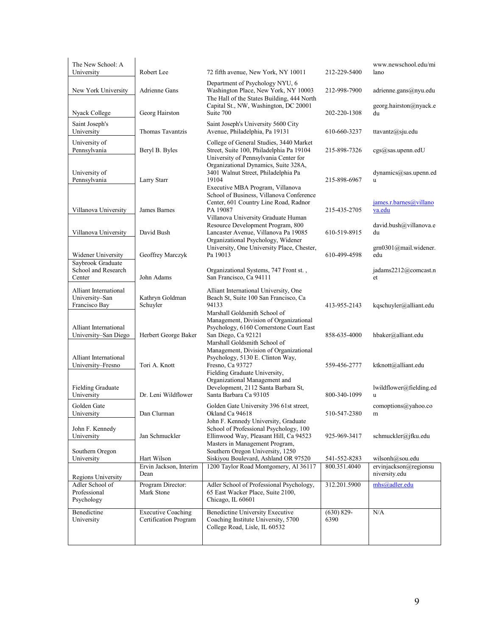| The New School: A<br>University                          | Robert Lee                                         | 72 fifth avenue, New York, NY 10011                                                                                                                                      | 212-229-5400          | www.newschool.edu/mi<br>lano           |
|----------------------------------------------------------|----------------------------------------------------|--------------------------------------------------------------------------------------------------------------------------------------------------------------------------|-----------------------|----------------------------------------|
| New York University                                      | Adrienne Gans                                      | Department of Psychology NYU, 6<br>Washington Place, New York, NY 10003<br>The Hall of the States Building, 444 North                                                    | 212-998-7900          | adrienne.gans@nyu.edu                  |
| Nyack College                                            | Georg Hairston                                     | Capital St., NW, Washington, DC 20001<br>Suite 700                                                                                                                       | 202-220-1308          | georg.hairston@nyack.e<br>du           |
| Saint Joseph's<br>University                             | Thomas Tavantzis                                   | Saint Joseph's University 5600 City<br>Avenue, Philadelphia, Pa 19131                                                                                                    | 610-660-3237          | ttavantz@sju.edu                       |
| University of<br>Pennsylvania                            | Beryl B. Byles                                     | College of General Studies, 3440 Market<br>Street, Suite 100, Philadelphia Pa 19104<br>University of Pennsylvania Center for                                             | 215-898-7326          | cgs@sas.upenn.edU                      |
| University of<br>Pennsylvania                            | Larry Starr                                        | Organizational Dynamics, Suite 328A,<br>3401 Walnut Street, Philadelphia Pa<br>19104<br>Executive MBA Program, Villanova<br>School of Business, Villanova Conference     | 215-898-6967          | $dynamics(a)$ sas.upenn.ed<br>u        |
| Villanova University                                     | James Barnes                                       | Center, 601 Country Line Road, Radnor<br>PA 19087<br>Villanova University Graduate Human                                                                                 | 215-435-2705          | james.r.barnes@villano<br>va.edu       |
| Villanova University                                     | David Bush                                         | Resource Development Program, 800<br>Lancaster Avenue, Villanova Pa 19085<br>Organizational Psychology, Widener                                                          | 610-519-8915          | david.bush@villanova.e<br>du           |
| Widener University<br>Saybrook Graduate                  | Geoffrey Marczyk                                   | University, One University Place, Chester,<br>Pa 19013                                                                                                                   | 610-499-4598          | grn0301@mail.widener.<br>edu           |
| School and Research<br>Center                            | John Adams                                         | Organizational Systems, 747 Front st.,<br>San Francisco, Ca 94111                                                                                                        |                       | jadams2212@comcast.n<br>et             |
| Alliant International<br>University-San<br>Francisco Bay | Kathryn Goldman<br>Schuyler                        | Alliant International University, One<br>Beach St, Suite 100 San Francisco, Ca<br>94133                                                                                  | 413-955-2143          | kqschuyler@alliant.edu                 |
| Alliant International<br>University-San Diego            | Herbert George Baker                               | Marshall Goldsmith School of<br>Management, Division of Organizational<br>Psychology, 6160 Cornerstone Court East<br>San Diego, Ca 92121<br>Marshall Goldsmith School of | 858-635-4000          | hbaker@alliant.edu                     |
| Alliant International<br>University-Fresno               | Tori A. Knott                                      | Management, Division of Organizational<br>Psychology, 5130 E. Clinton Way,<br>Fresno, Ca 93727<br>Fielding Graduate University,<br>Organizational Management and         | 559-456-2777          | ktknott@alliant.edu                    |
| Fielding Graduate<br>University                          | Dr. Leni Wildflower                                | Development, 2112 Santa Barbara St,<br>Santa Barbara Ca 93105                                                                                                            | 800-340-1099          | lwildflower@fielding.ed<br>u           |
| Golden Gate<br>University                                | Dan Clurman                                        | Golden Gate University 396 61st street,<br>Okland Ca 94618<br>John F. Kennedy University, Graduate                                                                       | 510-547-2380          | comoptions@yahoo.co<br>m               |
| John F. Kennedy<br>University                            | Jan Schmuckler                                     | School of Professional Psychology, 100<br>Ellinwood Way, Pleasant Hill, Ca 94523<br>Masters in Management Program,                                                       | 925-969-3417          | schmuckler@jfku.edu                    |
| Southern Oregon<br>University                            | Hart Wilson                                        | Southern Oregon University, 1250<br>Siskiyou Boulevard, Ashland OR 97520                                                                                                 | 541-552-8283          | wilsonh@sou.edu                        |
| Regions University                                       | Ervin Jackson, Interim<br>Dean                     | 1200 Taylor Road Montgomery, Al 36117                                                                                                                                    | 800.351.4040          | ervinjackson@regionsu<br>niversity.edu |
| Adler School of<br>Professional<br>Psychology            | Program Director:<br>Mark Stone                    | Adler School of Professional Psychology,<br>65 East Wacker Place, Suite 2100,<br>Chicago, IL 60601                                                                       | 312.201.5900          | mhs@adler.edu                          |
| Benedictine<br>University                                | <b>Executive Coaching</b><br>Certification Program | <b>Benedictine University Executive</b><br>Coaching Institute University, 5700<br>College Road, Lisle, IL 60532                                                          | $(630) 829 -$<br>6390 | N/A                                    |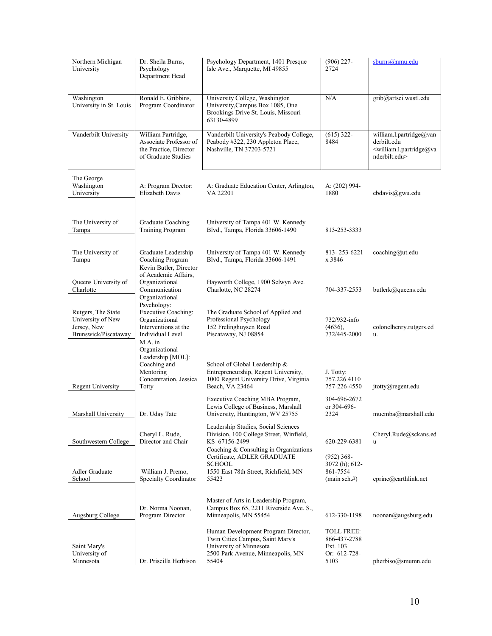| Northern Michigan<br>University                                                | Dr. Sheila Burns,<br>Psychology<br>Department Head                                                                                   | Psychology Department, 1401 Presque<br>Isle Ave., Marquette, MI 49855                                                                            | $(906)$ 227-<br>2724                                                  | sburns@nmu.edu                                                                                                    |
|--------------------------------------------------------------------------------|--------------------------------------------------------------------------------------------------------------------------------------|--------------------------------------------------------------------------------------------------------------------------------------------------|-----------------------------------------------------------------------|-------------------------------------------------------------------------------------------------------------------|
| Washington<br>University in St. Louis                                          | Ronald E. Gribbins,<br>Program Coordinator                                                                                           | University College, Washington<br>University, Campus Box 1085, One<br>Brookings Drive St. Louis, Missouri<br>63130-4899                          | N/A                                                                   | grib@artsci.wustl.edu                                                                                             |
| Vanderbilt University                                                          | William Partridge,<br>Associate Professor of<br>the Practice, Director<br>of Graduate Studies                                        | Vanderbilt University's Peabody College,<br>Peabody #322, 230 Appleton Place,<br>Nashville, TN 37203-5721                                        | $(615)$ 322-<br>8484                                                  | william.l.partridge@van<br>derbilt.edu<br><william.l.partridge@va<br>nderbilt.edu&gt;</william.l.partridge@va<br> |
| The George<br>Washington<br>University                                         | A: Program Drector:<br>Elizabeth Davis                                                                                               | A: Graduate Education Center, Arlington,<br>VA 22201                                                                                             | A: (202) 994-<br>1880                                                 | ebdavis@gwu.edu                                                                                                   |
| The University of<br>Tampa                                                     | Graduate Coaching<br><b>Training Program</b>                                                                                         | University of Tampa 401 W. Kennedy<br>Blvd., Tampa, Florida 33606-1490                                                                           | 813-253-3333                                                          |                                                                                                                   |
| The University of<br>Tampa                                                     | Graduate Leadership<br>Coaching Program<br>Kevin Butler, Director                                                                    | University of Tampa 401 W. Kennedy<br>Blvd., Tampa, Florida 33606-1491                                                                           | 813-253-6221<br>x 3846                                                | coaching@ut.edu                                                                                                   |
| Queens University of<br>Charlotte                                              | of Academic Affairs,<br>Organizational<br>Communication<br>Organizational                                                            | Hayworth College, 1900 Selwyn Ave.<br>Charlotte, NC 28274                                                                                        | 704-337-2553                                                          | butlerk@queens.edu                                                                                                |
| Rutgers, The State<br>University of New<br>Jersey, New<br>Brunswick/Piscataway | Psychology:<br><b>Executive Coaching:</b><br>Organizational<br>Interventions at the<br>Individual Level<br>M.A. in<br>Organizational | The Graduate School of Applied and<br>Professional Psychology<br>152 Frelinghuysen Road<br>Piscataway, NJ 08854                                  | 732/932-info<br>(4636),<br>732/445-2000                               | colonelhenry.rutgers.ed<br>u.                                                                                     |
| <b>Regent University</b>                                                       | Leadership [MOL]:<br>Coaching and<br>Mentoring<br>Concentration, Jessica<br>Totty                                                    | School of Global Leadership &<br>Entrepreneurship, Regent University,<br>1000 Regent University Drive, Virginia<br>Beach, VA 23464               | J. Totty:<br>757.226.4110<br>757-226-4550                             | jtotty@regent.edu                                                                                                 |
| Marshall University                                                            | Dr. Uday Tate                                                                                                                        | Executive Coaching MBA Program,<br>Lewis College of Business, Marshall<br>University, Huntington, WV 25755                                       | 304-696-2672<br>or 304-696-<br>2324                                   | muemba@marshall.edu                                                                                               |
| Southwestern College                                                           | Cheryl L. Rude,<br>Director and Chair                                                                                                | Leadership Studies, Social Sciences<br>Division, 100 College Street, Winfield,<br>KS 67156-2499                                                  | 620-229-6381                                                          | Cheryl.Rude@sckans.ed<br>u                                                                                        |
| Adler Graduate<br>School                                                       | William J. Premo,<br>Specialty Coordinator                                                                                           | Coaching & Consulting in Organizations<br>Certificate, ADLER GRADUATE<br>SCHOOL<br>1550 East 78th Street, Richfield, MN<br>55423                 | $(952)$ 368-<br>3072 (h); 612-<br>861-7554<br>$(\text{main sch.#})$   | cprinc@earthlink.net                                                                                              |
| Augsburg College                                                               | Dr. Norma Noonan,<br>Program Director                                                                                                | Master of Arts in Leadership Program,<br>Campus Box 65, 2211 Riverside Ave. S.,<br>Minneapolis, MN 55454                                         | 612-330-1198                                                          | noonan@augsburg.edu                                                                                               |
| Saint Mary's<br>University of<br>Minnesota                                     | Dr. Priscilla Herbison                                                                                                               | Human Development Program Director,<br>Twin Cities Campus, Saint Mary's<br>University of Minnesota<br>2500 Park Avenue, Minneapolis, MN<br>55404 | <b>TOLL FREE:</b><br>866-437-2788<br>Ext. 103<br>Or: 612-728-<br>5103 | pherbiso@smumn.edu                                                                                                |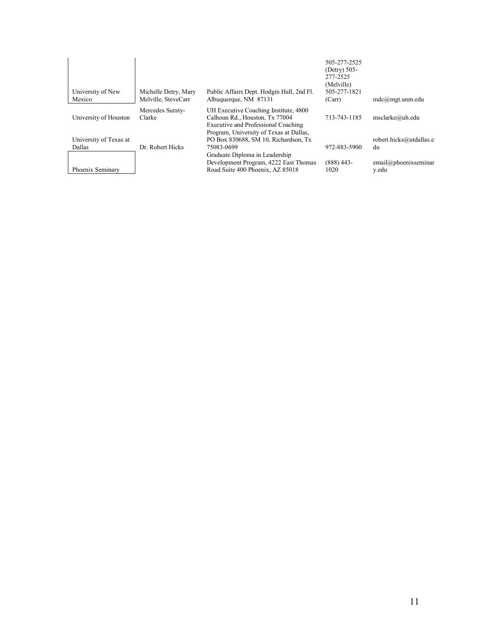| University of New<br>Mexico | Michelle Detry, Mary<br>Melville, SteveCarr | Public Affairs Dept. Hodgin Hall, 2nd Fl.<br>Albuquerque, NM 87131    | 505-277-2525<br>(Detry) 505-<br>277-2525<br>(Melville)<br>505-277-1821<br>(Carr) | $mdc@mgt.$ unm.edu      |
|-----------------------------|---------------------------------------------|-----------------------------------------------------------------------|----------------------------------------------------------------------------------|-------------------------|
|                             | Mercedes Suraty-                            | UH Executive Coaching Institute, 4800                                 |                                                                                  |                         |
| University of Houston       | Clarke                                      | Calhoun Rd., Houston, Tx 77004<br>Executive and Professional Coaching | 713-743-1185                                                                     | msclarke@uh.edu         |
|                             |                                             | Program, University of Texas at Dallas,                               |                                                                                  |                         |
| University of Texas at      |                                             | PO Box 830688, SM 10, Richardson, Tx                                  |                                                                                  | robert.hicks@utdallas.e |
| Dallas                      | Dr. Robert Hicks                            | 75083-0699                                                            | 972-883-5900                                                                     | du                      |
|                             |                                             | Graduate Diploma in Leadership                                        |                                                                                  |                         |
|                             |                                             | Development Program, 4222 East Thomas                                 | $(888)$ 443-                                                                     | email@phoenixsemina     |
| Phoenix Seminary            |                                             | Road Suite 400 Phoenix, AZ 85018                                      | 1020                                                                             | y.edu                   |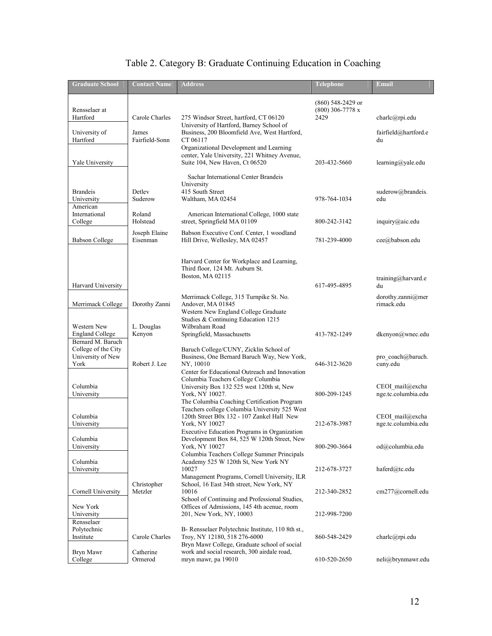| <b>Graduate School</b>                                                | <b>Contact Name</b>       | <b>Address</b>                                                                                                                                               | Telephone                                       | <b>Email</b>                           |
|-----------------------------------------------------------------------|---------------------------|--------------------------------------------------------------------------------------------------------------------------------------------------------------|-------------------------------------------------|----------------------------------------|
| Rensselaer at<br>Hartford                                             | Carole Charles            | 275 Windsor Street, hartford, CT 06120<br>University of Hartford, Barney School of                                                                           | (860) 548-2429 or<br>$(800)$ 306-7778 x<br>2429 | charlc@rpi.edu                         |
| University of<br>Hartford                                             | James<br>Fairfield-Sonn   | Business, 200 Bloomfield Ave, West Hartford,<br>CT 06117<br>Organizational Development and Learning<br>center, Yale University, 221 Whitney Avenue,          |                                                 | fairfield@hartford.e<br>du             |
| Yale University                                                       |                           | Suite 104, New Haven, Ct 06520<br>Sachar International Center Brandeis                                                                                       | 203-432-5660                                    | learning@yale.edu                      |
| <b>Brandeis</b><br>University<br>American                             | Detley<br>Suderow         | University<br>415 South Street<br>Waltham, MA 02454                                                                                                          | 978-764-1034                                    | suderow@brandeis.<br>edu               |
| International<br>College                                              | Roland<br>Holstead        | American International College, 1000 state<br>street, Springfield MA 01109                                                                                   | 800-242-3142                                    | inquiry@aic.edu                        |
| <b>Babson College</b>                                                 | Joseph Elaine<br>Eisenman | Babson Executive Conf. Center, 1 woodland<br>Hill Drive, Wellesley, MA 02457                                                                                 | 781-239-4000                                    | cee@babson.edu                         |
|                                                                       |                           | Harvard Center for Workplace and Learning,<br>Third floor, 124 Mt. Auburn St.<br>Boston, MA 02115                                                            |                                                 | training@harvard.e                     |
| Harvard University                                                    |                           | Merrimack College, 315 Turnpike St. No.                                                                                                                      | 617-495-4895                                    | du<br>dorothy.zanni@mer                |
| Merrimack College                                                     | Dorothy Zanni             | Andover, MA 01845<br>Western New England College Graduate<br>Studies & Continuing Education 1215                                                             |                                                 | rimack edu                             |
| Western New<br><b>England College</b>                                 | L. Douglas<br>Kenyon      | Wilbraham Road<br>Springfield, Massachusetts                                                                                                                 | 413-782-1249                                    | dkenyon@wnec.edu                       |
| Bernard M. Baruch<br>College of the City<br>University of New<br>York | Robert J. Lee             | Baruch College/CUNY, Zicklin School of<br>Business, One Bernard Baruch Way, New York,<br>NY, 10010<br>Center for Educational Outreach and Innovation         | 646-312-3620                                    | pro coach@baruch.<br>cuny.edu          |
| Columbia<br>University                                                |                           | Columbia Teachers College Columbia<br>University Box 132 525 west 120th st, New<br>York, NY 10027.<br>The Columbia Coaching Certification Program            | 800-209-1245                                    | CEOI mail@excha<br>nge.tc.columbia.edu |
| Columbia<br>University                                                |                           | Teachers college Columbia University 525 West<br>120th Street B0x 132 - 107 Zankel Hall New<br>York, NY 10027                                                | 212-678-3987                                    | CEOI_mail@excha<br>nge.tc.columbia.edu |
| Columbia<br>University                                                |                           | Executive Education Programs in Organization<br>Development Box 84, 525 W 120th Street, New<br>York, NY 10027<br>Columbia Teachers College Summer Principals | 800-290-3664                                    | od@columbia.edu                        |
| Columbia<br>University                                                |                           | Academy 525 W 120th St, New York NY<br>10027<br>Management Programs, Cornell University, ILR                                                                 | 212-678-3727                                    | haferd@tc.edu                          |
| Cornell University                                                    | Christopher<br>Metzler    | School, 16 East 34th street, New York, NY<br>10016<br>School of Continuing and Professional Studies,                                                         | 212-340-2852                                    | cm277@cornell.edu                      |
| New York<br>University                                                |                           | Offices of Admissions, 145 4th acenue, room<br>201, New York, NY, 10003                                                                                      | 212-998-7200                                    |                                        |
| Rensselaer<br>Polytechnic<br>Institute                                | Carole Charles            | B- Rensselaer Polytechnic Institute, 110 8th st.,<br>Troy, NY 12180, 518 276-6000<br>Bryn Mawr College, Graduate school of social                            | 860-548-2429                                    | charlc@rpi.edu                         |
| Bryn Mawr<br>College                                                  | Catherine<br>Ormerod      | work and social research, 300 airdale road,<br>mryn mawr, pa 19010                                                                                           | 610-520-2650                                    | neli@brynmawr.edu                      |

### Table 2. Category B: Graduate Continuing Education in Coaching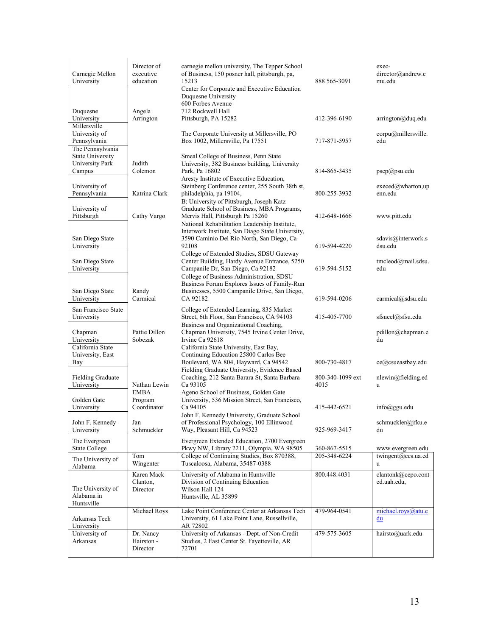| Carnegie Mellon<br>University                                                                  | Director of<br>executive<br>education | carnegie mellon university, The Tepper School<br>of Business, 150 posner hall, pittsburgh, pa,<br>15213 | 888 565-3091     | exec-<br>director@andrew.c<br>mu.edu                                                                     |
|------------------------------------------------------------------------------------------------|---------------------------------------|---------------------------------------------------------------------------------------------------------|------------------|----------------------------------------------------------------------------------------------------------|
|                                                                                                |                                       | Center for Corporate and Executive Education<br>Duquesne University<br>600 Forbes Avenue                |                  |                                                                                                          |
| Duquesne                                                                                       | Angela                                | 712 Rockwell Hall                                                                                       |                  |                                                                                                          |
| University                                                                                     | Arrington                             | Pittsburgh, PA 15282                                                                                    | 412-396-6190     | arrington@duq.edu                                                                                        |
| Millersville                                                                                   |                                       |                                                                                                         |                  |                                                                                                          |
| University of                                                                                  |                                       | The Corporate University at Millersville, PO                                                            |                  | corpu@millersville.                                                                                      |
| Pennsylvania                                                                                   |                                       | Box 1002, Millersville, Pa 17551                                                                        | 717-871-5957     | edu                                                                                                      |
| The Pennsylvania<br><b>State University</b>                                                    |                                       | Smeal College of Business, Penn State                                                                   |                  |                                                                                                          |
| University Park                                                                                | Judith                                | University, 382 Business building, University                                                           |                  |                                                                                                          |
| Campus                                                                                         | Colemon                               | Park, Pa 16802                                                                                          | 814-865-3435     | psep@psu.edu                                                                                             |
|                                                                                                |                                       | Aresty Institute of Executive Education,                                                                |                  |                                                                                                          |
| University of                                                                                  |                                       | Steinberg Conference center, 255 South 38th st,                                                         |                  | $execed$ <sub><i>(a</i>)wharton,up</sub>                                                                 |
| Pennsylvania                                                                                   | Katrina Clark                         | philadelphia, pa 19104,                                                                                 | 800-255-3932     | enn.edu                                                                                                  |
|                                                                                                |                                       | B: University of Pittsburgh, Joseph Katz                                                                |                  |                                                                                                          |
| University of                                                                                  |                                       | Graduate School of Business, MBA Programs,                                                              |                  |                                                                                                          |
| Pittsburgh                                                                                     | Cathy Vargo                           | Mervis Hall, Pittsburgh Pa 15260                                                                        | 412-648-1666     | www.pitt.edu                                                                                             |
|                                                                                                |                                       | National Rehabilitation Leadership Institute,                                                           |                  |                                                                                                          |
|                                                                                                |                                       | Interwork Institute, San Diago State University,                                                        |                  |                                                                                                          |
| San Diego State                                                                                |                                       | 3590 Caminio Del Rio North, San Diego, Ca                                                               |                  | sdavis@interwork.s                                                                                       |
| University                                                                                     |                                       | 92108                                                                                                   | 619-594-4220     | dsu.edu                                                                                                  |
|                                                                                                |                                       | College of Extended Studies, SDSU Gateway                                                               |                  |                                                                                                          |
| San Diego State                                                                                |                                       | Center Building, Hardy Avenue Entrance, 5250                                                            | 619-594-5152     | tmcleod@mail.sdsu.<br>edu                                                                                |
| University                                                                                     |                                       | Campanile Dr, San Diego, Ca 92182<br>College of Business Administration, SDSU                           |                  |                                                                                                          |
|                                                                                                |                                       | Business Forum Explores Issues of Family-Run                                                            |                  |                                                                                                          |
| San Diego State                                                                                | Randy                                 | Businesses, 5500 Campanile Drive, San Diego,                                                            |                  |                                                                                                          |
| University                                                                                     | Carmical                              | CA 92182                                                                                                | 619-594-0206     | carmical@sdsu.edu                                                                                        |
|                                                                                                |                                       |                                                                                                         |                  |                                                                                                          |
| San Francisco State                                                                            |                                       | College of Extended Learning, 835 Market                                                                |                  |                                                                                                          |
| University                                                                                     |                                       | Street, 6th Floor, San Francisco, CA 94103                                                              | 415-405-7700     | sfsucel@sfsu.edu                                                                                         |
| Chapman                                                                                        | Pattie Dillon                         | Business and Organizational Coaching,<br>Chapman University, 7545 Irvine Center Drive,                  |                  | pdillon@chapman.e                                                                                        |
| University                                                                                     | Sobczak                               | Irvine Ca 92618                                                                                         |                  | du                                                                                                       |
| California State                                                                               |                                       | California State University, East Bay,                                                                  |                  |                                                                                                          |
|                                                                                                |                                       | Continuing Education 25800 Carlos Bee                                                                   |                  |                                                                                                          |
|                                                                                                |                                       |                                                                                                         |                  |                                                                                                          |
|                                                                                                |                                       |                                                                                                         | 800-730-4817     |                                                                                                          |
|                                                                                                |                                       | Boulevard, WA 804, Hayward, Ca 94542<br>Fielding Graduate University, Evidence Based                    |                  |                                                                                                          |
|                                                                                                |                                       | Coaching, 212 Santa Barara St, Santa Barbara                                                            | 800-340-1099 ext | ce@csueastbay.edu<br>$n$ lewin@fielding.ed                                                               |
|                                                                                                | Nathan Lewin                          | Ca 93105                                                                                                | 4015             | <b>u</b>                                                                                                 |
|                                                                                                | <b>EMBA</b>                           | Ageno School of Business, Golden Gate                                                                   |                  |                                                                                                          |
|                                                                                                | Program                               | University, 536 Mission Street, San Francisco,                                                          |                  |                                                                                                          |
|                                                                                                | Coordinator                           | Ca 94105                                                                                                | 415-442-6521     | info@ggu.edu                                                                                             |
| University, East<br>Bay<br><b>Fielding Graduate</b><br>University<br>Golden Gate<br>University |                                       | John F. Kennedy University, Graduate School                                                             |                  |                                                                                                          |
|                                                                                                | Jan                                   | of Professional Psychology, 100 Ellinwood                                                               |                  |                                                                                                          |
| John F. Kennedy<br>University                                                                  | Schmuckler                            | Way, Pleasant Hill, Ca 94523                                                                            | 925-969-3417     | du                                                                                                       |
|                                                                                                |                                       | Evergreen Extended Education, 2700 Evergreen                                                            |                  |                                                                                                          |
| The Evergreen<br><b>State College</b>                                                          |                                       | Pkwy NW, Library 2211, Olympia, WA 98505                                                                | 360-867-5515     |                                                                                                          |
|                                                                                                | Tom                                   | College of Continuing Studies, Box 870388,                                                              | 205-348-6224     |                                                                                                          |
|                                                                                                | Wingenter                             | Tuscaloosa, Alabama, 35487-0388                                                                         |                  | u                                                                                                        |
| The University of<br>Alabama                                                                   | Karen Mack                            |                                                                                                         | 800.448.4031     |                                                                                                          |
|                                                                                                | Clanton,                              | University of Alabama in Huntsville<br>Division of Continuing Education                                 |                  | ed.uah.edu,                                                                                              |
| The University of                                                                              | Director                              | Wilson Hall 124                                                                                         |                  |                                                                                                          |
|                                                                                                |                                       | Huntsville, AL 35899                                                                                    |                  |                                                                                                          |
|                                                                                                |                                       |                                                                                                         |                  |                                                                                                          |
|                                                                                                | Michael Roys                          | Lake Point Conference Center at Arkansas Tech                                                           | 479-964-0541     | schmuckler@jfku.e<br>www.evergreen.edu<br>twingent@ccs.ua.ed<br>clantonk@cepo.cont<br>michael.roys@atu.e |
|                                                                                                |                                       | University, 61 Lake Point Lane, Russellville,                                                           |                  | du                                                                                                       |
| Alabama in<br>Huntsville<br>Arkansas Tech<br>University                                        |                                       | AR 72802                                                                                                |                  |                                                                                                          |
| University of<br>Arkansas                                                                      | Dr. Nancy<br>Hairston -               | University of Arkansas - Dept. of Non-Credit<br>Studies, 2 East Center St. Fayetteville, AR             | 479-575-3605     | hairsto@uark.edu                                                                                         |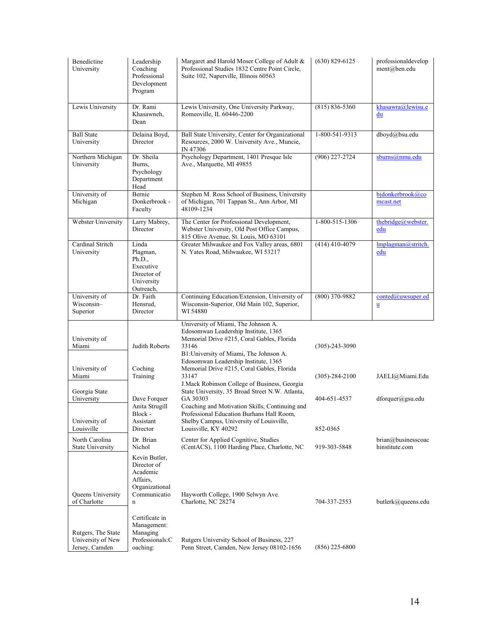| Benedictine<br>University                                 | Leadership<br>Coaching<br>Professional<br>Development<br>Program                            | Margaret and Harold Moser College of Adult &<br>Professional Studies 1832 Centre Point Circle,<br>Suite 102, Naperville, Illinois 60563                                                                               | $(630)$ 829-6125     | professionaldevelop<br>ment@ben.edu  |
|-----------------------------------------------------------|---------------------------------------------------------------------------------------------|-----------------------------------------------------------------------------------------------------------------------------------------------------------------------------------------------------------------------|----------------------|--------------------------------------|
| Lewis University                                          | Dr. Rami<br>Khasawneh,<br>Dean                                                              | Lewis University, One University Parkway,<br>Romeoville, IL 60446-2200                                                                                                                                                | $(815) 836 - 5360$   | khasawra@lewisu.e<br>du              |
| <b>Ball State</b><br>University                           | Delaina Boyd,<br>Director                                                                   | Ball State University, Center for Organizational<br>Resources, 2000 W. University Ave., Muncie,<br>IN 47306                                                                                                           | 1-800-541-9313       | dboyd@bsu.edu                        |
| Northern Michigan<br>University                           | Dr. Sheila<br>Burns,<br>Psychology<br>Department<br>Head                                    | Psychology Department, 1401 Presque Isle<br>Ave., Marquette, MI 49855                                                                                                                                                 | (906) 227-2724       | sburns@nmu.edu                       |
| University of<br>Michigan                                 | Bernie<br>Donkerbrook -<br>Faculty                                                          | Stephen M. Ross School of Business, University<br>of Michigan, 701 Tappan St., Ann Arbor, MI<br>48109-1234                                                                                                            |                      | bjdonkerbrook@co<br>mcast.net        |
| Webster University                                        | Larry Mabrey,<br>Director                                                                   | The Center for Professional Development,<br>Webster University, Old Post Office Campus,<br>815 Olive Avenue, St. Louis, MO 63101                                                                                      | 1-800-515-1306       | thebridge@webster.<br>edu            |
| Cardinal Stritch<br>University                            | Linda<br>Plagman,<br>Ph.D.,<br>Executive<br>Director of<br>University<br>Outreach,          | Greater Milwaukee and Fox Valley areas, 6801<br>N. Yates Road, Milwaukee, WI 53217                                                                                                                                    | $(414)$ 410-4079     | Implagman@stritch.<br>edu            |
| University of<br>Wisconsin-<br>Superior                   | Dr. Faith<br>Hensrud,<br>Director                                                           | Continuing Education/Extension, University of<br>Wisconsin-Superior, Old Main 102, Superior,<br>WI 54880                                                                                                              | $(800)$ 370-9882     | conted@uwsuper.ed<br>u               |
| University of<br>Miami                                    | Judith Roberts                                                                              | University of Miami, The Johnson A.<br>Edosomwan Leadership Institute, 1365<br>Memorial Drive #215, Coral Gables, Florida<br>33146<br>B1: University of Miami, The Johnson A.<br>Edosomwan Leadership Institute, 1365 | $(305) - 243 - 3090$ |                                      |
| University of<br>Miami                                    | Coching<br>Training                                                                         | Memorial Drive #215, Coral Gables, Florida<br>33147<br>J. Mack Robinson College of Business, Georgia                                                                                                                  | $(305)-284-2100$     | JAELI@Miami.Edu                      |
| Georgia State<br>University                               | Dave Forquer<br>Anita Strugill                                                              | State University, 35 Broad Street N.W. Atlanta,<br>GA 30303<br>Coaching and Motivation Skills, Continuing and                                                                                                         | 404-651-4537         | $d$ forquer $(a)$ gsu.edu            |
| University of<br>Louisville                               | Block -<br>Assistant<br>Director                                                            | Professional Education Burhans Hall Room,<br>Shelby Campus, University of Louisville,<br>Louisville, KY 40292                                                                                                         | 852-0365             |                                      |
| North Carolina<br><b>State University</b>                 | Dr. Brian<br>Nichol                                                                         | Center for Applied Cognitive, Studies<br>(CentACS), 1100 Harding Place, Charlotte, NC                                                                                                                                 | 919-303-5848         | brian@businesscoac<br>hinstitute.com |
| Queens University<br>of Charlotte                         | Kevin Butler,<br>Director of<br>Academic<br>Affairs,<br>Organizational<br>Communicatio<br>n | Hayworth College, 1900 Selwyn Ave.<br>Charlotte, NC 28274                                                                                                                                                             | 704-337-2553         | butlerk@queens.edu                   |
| Rutgers, The State<br>University of New<br>Jersey, Camden | Certificate in<br>Management:<br>Managing<br>Professionals:C<br>oaching:                    | Rutgers University School of Business, 227<br>Penn Street, Camden, New Jersey 08102-1656                                                                                                                              | $(856)$ 225-6800     |                                      |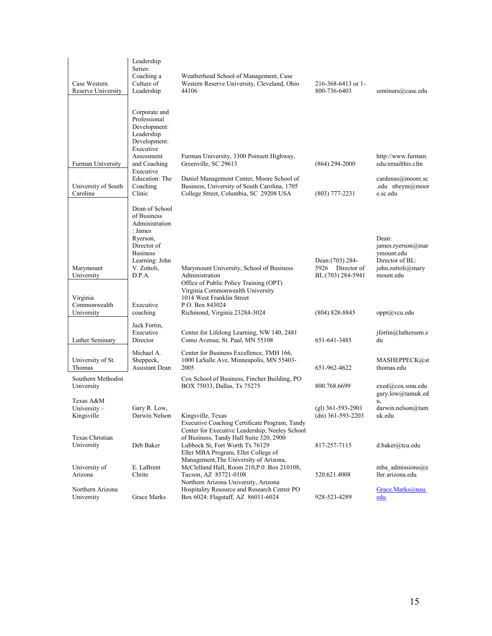| Case Western<br>Reserve University                                | Leadership<br>Series:<br>Coaching a<br>Culture of<br>Leadership                                                                                                              | Weatherhead School of Management, Case<br>Western Reserve University, Cleveland, Ohio<br>44106                                                                                                                            | 216-368-6413 or 1-<br>800-736-6403                                                 | seminars@case.edu                                                                                                 |
|-------------------------------------------------------------------|------------------------------------------------------------------------------------------------------------------------------------------------------------------------------|---------------------------------------------------------------------------------------------------------------------------------------------------------------------------------------------------------------------------|------------------------------------------------------------------------------------|-------------------------------------------------------------------------------------------------------------------|
| Furman University                                                 | Corporate and<br>Professional<br>Development:<br>Leadership<br>Development:<br>Executive<br>Assessment<br>and Coaching                                                       | Furman University, 3300 Poinsett Highway,<br>Greenville, SC 29613                                                                                                                                                         | $(864)$ 294-2000                                                                   | http://www.furman.<br>edu/emailthis.cfm                                                                           |
| University of South<br>Carolina                                   | Executive<br>Education: The<br>Coaching<br>Clinic                                                                                                                            | Daniel Management Center, Moore School of<br>Business, University of South Carolina, 1705<br>College Street, Columbia, SC 29208 USA                                                                                       | $(803)$ 777-2231                                                                   | cardenas@moore.sc<br>.edu nbeym $@$ moor<br>e.sc.edu                                                              |
| Marymount<br>University<br>Virginia<br>Commonwealth<br>University | Dean of School<br>of Business<br>Administration<br>: James<br>Ryerson,<br>Director of<br><b>Business</b><br>Learning: John<br>V. Zottoli,<br>D.P.A.<br>Executive<br>coaching | Marymount University, School of Business<br>Administration<br>Office of Public Policy Training (OPT)<br>Virginia Commonwealth University<br>1014 West Franklin Street<br>P.O. Box 843024<br>Richmond, Virginia 23284-3024 | Dean: (703) 284-<br>5926<br>Director of<br>BL:(703) 284-5941<br>$(804) 828 - 8845$ | Dean:<br>james.ryerson $@$ mar<br>ymount.edu<br>Director of BL:<br>john.zottoli@mary<br>mount.edu<br>oppt@vcu.edu |
| Luther Seminary                                                   | Jack Fortin,<br>Executive<br>Director                                                                                                                                        | Center for Lifelong Learning, NW 140, 2481<br>Como Avenue, St. Paul, MN 55108                                                                                                                                             | 651-641-3485                                                                       | jfortin@luthersem.e<br>du                                                                                         |
| University of St.<br>Thomas                                       | Michael A.<br>Sheppeck,<br>Assistant Dean                                                                                                                                    | Center for Business Excellence, TMH 166,<br>1000 LaSalle Ave, Minneapolis, MN 55403-<br>2005                                                                                                                              | 651-962-4622                                                                       | MASHEPPECK@st<br>thomas.edu                                                                                       |
| Southern Methodist<br>University                                  |                                                                                                                                                                              | Cox School of Business, Fincher Building, PO<br>BOX 75033, Dallas, Tx 75275                                                                                                                                               | 800.768.6699                                                                       | exed@cox.smu.edu<br>gary.low@tamuk.ed                                                                             |
| Texas A&M<br>University $-$<br>Kingsville                         | Gary R. Low,<br>Darwin Nelson                                                                                                                                                | Kingsville, Texas<br>Executive Coaching Certificate Program, Tandy<br>Center for Executive Leadership, Neeley School                                                                                                      | $(gl)$ 361-593-2901<br>$(dn)$ 361-593-2203                                         | u,<br>darwin.nelson@tam<br>uk.edu                                                                                 |
| Texas Christian<br>University                                     | Deb Baker                                                                                                                                                                    | of Business, Tandy Hall Suite 320, 2900<br>Lubbock St, Fort Worth Tx 76129<br>Eller MBA Program, Eller College of                                                                                                         | 817-257-7115                                                                       | d.baker@tcu.edu                                                                                                   |
| University of<br>Arizona                                          | E. LaBrent<br>Chrite                                                                                                                                                         | Management, The University of Arizona,<br>McClelland Hall, Room 210, P.0. Box 210108,<br>Tucson, AZ 85721-0108<br>Northern Arizona University, Arizona                                                                    | 520.621.4008                                                                       | mba admissions $@e$<br>ller.arizona.edu                                                                           |
| Northern Arizona<br>University                                    | Grace Marks                                                                                                                                                                  | Hospitality Resource and Research Center PO<br>Box 6024: Flagstaff, AZ 86011-6024                                                                                                                                         | 928-523-4289                                                                       | Grace.Marks@nau.<br>edu                                                                                           |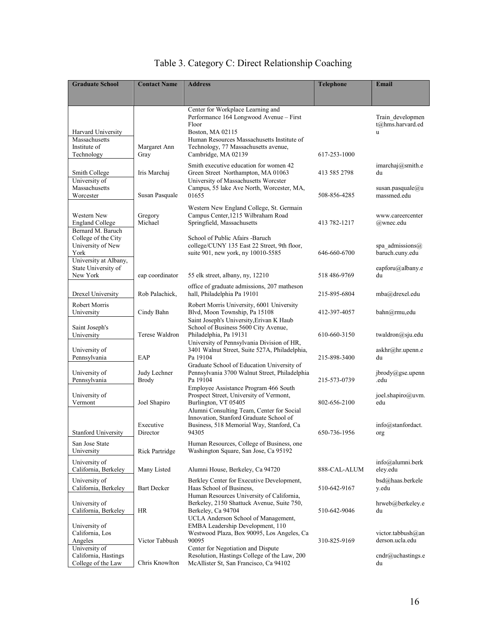| <b>Graduate School</b>                                                    | <b>Contact Name</b>          | <b>Address</b>                                                                                                                                          | <b>Telephone</b> | Email                                     |
|---------------------------------------------------------------------------|------------------------------|---------------------------------------------------------------------------------------------------------------------------------------------------------|------------------|-------------------------------------------|
|                                                                           |                              |                                                                                                                                                         |                  |                                           |
| Harvard University<br>Massachusetts                                       |                              | Center for Workplace Learning and<br>Performance 164 Longwood Avenue - First<br>Floor<br>Boston, MA 02115<br>Human Resources Massachusetts Institute of |                  | Train developmen<br>t@hms.harvard.ed<br>u |
| Institute of<br>Technology                                                | Margaret Ann<br>Gray         | Technology, 77 Massachusetts avenue,<br>Cambridge, MA 02139                                                                                             | 617-253-1000     |                                           |
| Smith College<br>University of                                            | Iris Marchai                 | Smith executive education for women 42<br>Green Street Northampton, MA 01063<br>University of Massachusetts Worcster                                    | 413 585 2798     | imarchaj@smith.e<br>du                    |
| Massachusetts<br>Worcester                                                | Susan Pasquale               | Campus, 55 lake Ave North, Worcester, MA,<br>01655                                                                                                      | 508-856-4285     | susan.pasquale $@u$<br>massmed.edu        |
| Western New<br><b>England College</b><br>Bernard M. Baruch                | Gregory<br>Michael           | Western New England College, St. Germain<br>Campus Center, 1215 Wilbraham Road<br>Springfield, Massachusetts                                            | 413 782-1217     | www.careercenter<br>@wnec.edu             |
| College of the City<br>University of New<br>York<br>University at Albany, |                              | School of Public Afairs -Baruch<br>college/CUNY 135 East 22 Street, 9th floor,<br>suite 901, new york, ny 10010-5585                                    | 646-660-6700     | spa admissions $(a)$<br>baruch.cuny.edu   |
| State University of<br>New York                                           | eap coordinator              | 55 elk street, albany, ny, 12210                                                                                                                        | 518 486-9769     | eapforu@albany.e<br>du                    |
| Drexel University                                                         | Rob Palachick,               | office of graduate admissions, 207 matheson<br>hall, Philadelphia Pa 19101                                                                              | 215-895-6804     | mba@drexel.edu                            |
| <b>Robert Morris</b><br>University                                        | Cindy Bahn                   | Robert Morris University, 6001 University<br>Blvd, Moon Township, Pa 15108<br>Saint Joseph's University, Erivan K Haub                                  | 412-397-4057     | bahn@rmu,edu                              |
| Saint Joseph's<br>University                                              | Terese Waldron               | School of Business 5600 City Avenue,<br>Philadelphia, Pa 19131<br>University of Pennsylvania Division of HR,                                            | 610-660-3150     | twaldron@sju.edu                          |
| University of<br>Pennsylvania                                             | EAP                          | 3401 Walnut Street, Suite 527A, Philadelphia,<br>Pa 19104<br>Graduate School of Education University of                                                 | 215-898-3400     | askhr@hr.upenn.e<br>du                    |
| University of<br>Pennsylvania                                             | Judy Lechner<br><b>Brody</b> | Pennsylvania 3700 Walnut Street, Philadelphia<br>Pa 19104<br>Employee Assistance Program 466 South                                                      | 215-573-0739     | ibrody@gse.upenn<br>.edu                  |
| University of<br>Vermont                                                  | Joel Shapiro                 | Prospect Street, University of Vermont,<br>Burlington, VT 05405<br>Alumni Consulting Team, Center for Social<br>Innovation, Stanford Graduate School of | 802-656-2100     | joel.shapiro@uvm.<br>edu                  |
| <b>Stanford University</b>                                                | Executive<br>Director        | Business, 518 Memorial Way, Stanford, Ca<br>94305                                                                                                       | 650-736-1956     | info@stanfordact.<br>org                  |
| San Jose State<br>University                                              | Rick Partridge               | Human Resources, College of Business, one<br>Washington Square, San Jose, Ca 95192                                                                      |                  |                                           |
| University of<br>California, Berkeley                                     | Many Listed                  | Alumni House, Berkeley, Ca 94720                                                                                                                        | 888-CAL-ALUM     | $info(\partial)$ alumni.berk<br>eley.edu  |
| University of<br>California, Berkeley                                     | <b>Bart Decker</b>           | Berkley Center for Executive Development,<br>Haas School of Business,<br>Human Resources University of California,                                      | 510-642-9167     | bsd@haas.berkele<br>y.edu                 |
| University of<br>California, Berkeley                                     | HR                           | Berkeley, 2150 Shattuck Avenue, Suite 750,<br>Berkeley, Ca 94704<br>UCLA Anderson School of Management,                                                 | 510-642-9046     | hrweb@berkeley.e<br>du                    |
| University of<br>California, Los<br>Angeles                               | Victor Tabbush               | EMBA Leadership Development, 110<br>Westwood Plaza, Box 90095, Los Angeles, Ca<br>90095                                                                 | 310-825-9169     | victor.tabbush@an<br>derson.ucla.edu      |
| University of<br>California, Hastings<br>College of the Law               | Chris Knowlton               | Center for Negotiation and Dispute<br>Resolution, Hastings College of the Law, 200<br>McAllister St, San Francisco, Ca 94102                            |                  | cndr@uchastings.e<br>du                   |

## Table 3. Category C: Direct Relationship Coaching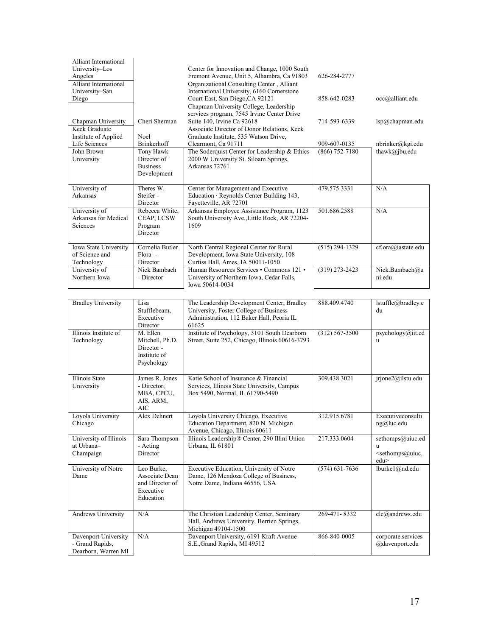| Alliant International<br>University-Los<br>Angeles<br>Alliant International |                                                                           | Center for Innovation and Change, 1000 South<br>Fremont Avenue, Unit 5, Alhambra, Ca 91803<br>Organizational Consulting Center, Alliant    | 626-284-2777       |                                                                         |
|-----------------------------------------------------------------------------|---------------------------------------------------------------------------|--------------------------------------------------------------------------------------------------------------------------------------------|--------------------|-------------------------------------------------------------------------|
| University-San<br>Diego                                                     |                                                                           | International University, 6160 Cornerstone<br>Court East, San Diego, CA 92121<br>Chapman University College, Leadership                    | 858-642-0283       | occ@alliant.edu                                                         |
| Chapman University<br>Keck Graduate                                         | Cheri Sherman                                                             | services program, 7545 Irvine Center Drive<br>Suite 140, Irvine Ca 92618<br>Associate Director of Donor Relations, Keck                    | 714-593-6339       | $lsp@$ chapman.edu                                                      |
| Institute of Applied<br>Life Sciences                                       | Noel<br>Brinkerhoff                                                       | Graduate Institute, 535 Watson Drive,<br>Clearmont, Ca 91711                                                                               | 909-607-0135       | nbrinker@kgi.edu                                                        |
| John Brown<br>University                                                    | <b>Tony Hawk</b><br>Director of<br><b>Business</b><br>Development         | The Soderquist Center for Leadership & Ethics<br>2000 W University St. Siloam Springs,<br>Arkansas 72761                                   | $(866) 752 - 7180$ | thawk@jbu.edu                                                           |
| University of<br>Arkansas                                                   | Theres W.<br>Steifer -<br>Director                                        | Center for Management and Executive<br>Education · Reynolds Center Building 143,<br>Fayetteville, AR 72701                                 | 479.575.3331       | N/A                                                                     |
| University of<br>Arkansas for Medical<br>Sciences                           | Rebecca White,<br>CEAP, LCSW<br>Program<br>Director                       | Arkansas Employee Assistance Program, 1123<br>South University Ave., Little Rock, AR 72204-<br>1609                                        | 501.686.2588       | N/A                                                                     |
| Iowa State University<br>of Science and<br>Technology                       | Cornelia Butler<br>Flora -<br>Director                                    | North Central Regional Center for Rural<br>Development, Iowa State University, 108<br>Curtiss Hall, Ames, IA 50011-1050                    | $(515) 294 - 1329$ | cflora@iastate.edu                                                      |
| University of<br>Northern Iowa                                              | Nick Bambach<br>- Director                                                | Human Resources Services • Commons 121 •<br>University of Northern Iowa, Cedar Falls,<br>Iowa 50614-0034                                   | $(319)$ 273-2423   | Nick.Bambach@u<br>ni.edu                                                |
|                                                                             |                                                                           |                                                                                                                                            |                    |                                                                         |
| <b>Bradley University</b>                                                   | Lisa<br>Stufflebeam,<br>Executive<br>Director                             | The Leadership Development Center, Bradley<br>University, Foster College of Business<br>Administration, 112 Baker Hall, Peoria IL<br>61625 | 888.409.4740       | lstuffle@bradley.e<br>du                                                |
| Illinois Institute of<br>Technology                                         | M. Ellen<br>Mitchell, Ph.D.<br>Director -<br>Institute of<br>Psychology   | Institute of Psychology, 3101 South Dearborn<br>Street, Suite 252, Chicago, Illinois 60616-3793                                            | $(312) 567 - 3500$ | psychology@iit.ed<br>u                                                  |
| Illinois State<br>University                                                | James R. Jones<br>- Director;<br>MBA, CPCU,<br>AIS, ARM,<br>AIC           | Katie School of Insurance & Financial<br>Services, Illinois State University, Campus<br>Box 5490, Normal, IL 61790-5490                    | 309.438.3021       | jrjone2@ilstu.edu                                                       |
| Loyola University<br>Chicago                                                | Alex Dehnert                                                              | Loyola University Chicago, Executive<br>Education Department, 820 N. Michigan<br>Avenue, Chicago, Illinois 60611                           | 312.915.6781       | Executiveconsulti<br>ng@luc.edu                                         |
| University of Illinois<br>at Urbana-<br>Champaign                           | Sara Thompson<br>- Acting<br>Director                                     | Illinois Leadership® Center, 290 Illini Union<br>Urbana, IL 61801                                                                          | 217.333.0604       | sethomps@uiuc.ed<br>u<br><sethomps@uiuc.<br>edu&gt;</sethomps@uiuc.<br> |
| University of Notre<br>Dame                                                 | Leo Burke,<br>Associate Dean<br>and Director of<br>Executive<br>Education | Executive Education, University of Notre<br>Dame, 126 Mendoza College of Business,<br>Notre Dame, Indiana 46556, USA                       | $(574) 631 - 7636$ | lburke1@nd.edu                                                          |
| Andrews University                                                          | N/A                                                                       | The Christian Leadership Center, Seminary<br>Hall, Andrews University, Berrien Springs,<br>Michigan 49104-1500                             | 269-471-8332       | clc@andrews.edu                                                         |
| Davenport University<br>- Grand Rapids,<br>Dearborn, Warren MI              | N/A                                                                       | Davenport University, 6191 Kraft Avenue<br>S.E., Grand Rapids, MI 49512                                                                    | 866-840-0005       | corporate.services<br>@davenport.edu                                    |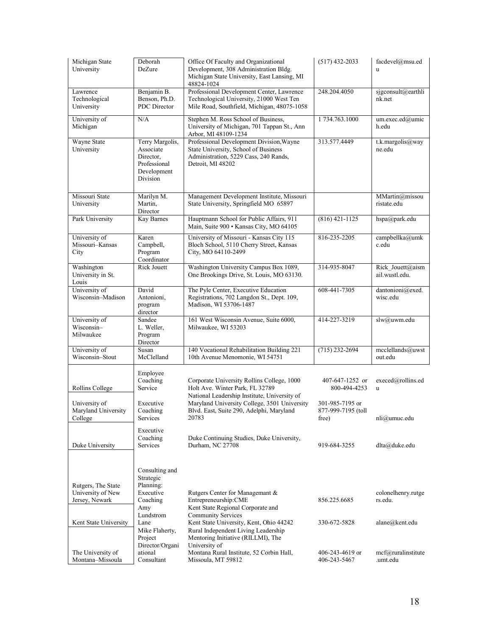| Michigan State<br>University                              | Deborah<br>DeZure                                                                    | Office Of Faculty and Organizational<br>Development, 308 Administration Bldg.<br>Michigan State University, East Lansing, MI<br>48824-1024                                             | $(517)$ 432-2033                               | facdevel@msu.ed<br>u               |
|-----------------------------------------------------------|--------------------------------------------------------------------------------------|----------------------------------------------------------------------------------------------------------------------------------------------------------------------------------------|------------------------------------------------|------------------------------------|
| Lawrence<br>Technological<br>University                   | Benjamin B.<br>Benson, Ph.D.<br>PDC Director                                         | Professional Development Center, Lawrence<br>Technological University, 21000 West Ten<br>Mile Road, Southfield, Michigan, 48075-1058                                                   | 248.204.4050                                   | sjgconsult@earthli<br>nk.net       |
| University of<br>Michigan                                 | N/A                                                                                  | Stephen M. Ross School of Business,<br>University of Michigan, 701 Tappan St., Ann<br>Arbor, MI 48109-1234                                                                             | 1 734.763.1000                                 | um.exec.ed@umic<br>h.edu           |
| Wayne State<br>University                                 | Terry Margolis,<br>Associate<br>Director.<br>Professional<br>Development<br>Division | Professional Development Division, Wayne<br>State University, School of Business<br>Administration, 5229 Cass, 240 Rands,<br>Detroit, MI 48202                                         | 313.577.4449                                   | t.k.margolis@way<br>ne.edu         |
| Missouri State<br>University                              | Marilyn M.<br>Martin,<br>Director                                                    | Management Development Institute, Missouri<br>State University, Springfield MO 65897                                                                                                   |                                                | MMartin@missou<br>ristate.edu      |
| Park University                                           | Kay Barnes                                                                           | Hauptmann School for Public Affairs, 911<br>Main, Suite 900 · Kansas City, MO 64105                                                                                                    | $(816)$ 421-1125                               | hspa@park.edu                      |
| University of<br>Missouri-Kansas<br>City                  | Karen<br>Campbell,<br>Program<br>Coordinator                                         | University of Missouri - Kansas City 115<br>Bloch School, 5110 Cherry Street, Kansas<br>City, MO 64110-2499                                                                            | 816-235-2205                                   | campbellka@umk<br>c.edu            |
| Washington<br>University in St.<br>Louis                  | <b>Rick Jouett</b>                                                                   | Washington University Campus Box 1089,<br>One Brookings Drive, St. Louis, MO 63130.                                                                                                    | 314-935-8047                                   | Rick_Jouett@aism<br>ail.wustl.edu. |
| University of<br>Wisconsin-Madison                        | David<br>Antonioni,<br>program<br>director                                           | The Pyle Center, Executive Education<br>Registrations, 702 Langdon St., Dept. 109,<br>Madison, WI 53706-1487                                                                           | 608-441-7305                                   | dantonioni@exed.<br>wisc.edu       |
| University of<br>Wisconsin-<br>Milwaukee                  | Sandee<br>L. Weller,<br>Program<br>Director                                          | 161 West Wisconsin Avenue, Suite 6000,<br>Milwaukee, WI 53203                                                                                                                          | 414-227-3219                                   | slw@uwm.edu                        |
| University of<br>Wisconsin-Stout                          | Susan<br>McClelland                                                                  | 140 Vocational Rehabilitation Building 221<br>10th Avenue Menomonie, WI 54751                                                                                                          | $(715)$ 232-2694                               | mcclellands@uwst<br>out.edu        |
| Rollins College                                           | Employee<br>Coaching<br>Service                                                      | Corporate University Rollins College, 1000<br>Holt Ave. Winter Park, FL 32789<br>National Leadership Institute, University of                                                          | 407-647-1252 or<br>800-494-4253                | execed@rollins.ed<br>u             |
| University of<br>Maryland University<br>College           | Executive<br>Coaching<br>Services                                                    | Maryland University College, 3501 University<br>Blvd. East, Suite 290, Adelphi, Maryland<br>20783                                                                                      | 301-985-7195 or<br>877-999-7195 (toll<br>free) | $nli@$ umuc.edu                    |
| Duke University                                           | Executive<br>Coaching<br>Services                                                    | Duke Continuing Studies, Duke University,<br>Durham, NC 27708                                                                                                                          | 919-684-3255                                   | dlta@duke.edu                      |
| Rutgers, The State<br>University of New<br>Jersey, Newark | Consulting and<br>Strategic<br>Planning:<br>Executive<br>Coaching                    | Rutgers Center for Managemant &<br>Entrepreneurship:CME                                                                                                                                | 856.225.6685                                   | colonelhenry.rutge<br>rs.edu.      |
| Kent State University                                     | Amy<br>Lundstrom<br>Lane<br>Mike Flaherty,<br>Project                                | Kent State Regional Corporate and<br><b>Community Services</b><br>Kent State University, Kent, Ohio 44242<br>Rural Independent Living Leadership<br>Mentoring Initiative (RILLMI), The | 330-672-5828                                   | alane@kent.edu                     |
| The University of<br>Montana-Missoula                     | Director/Organi<br>ational<br>Consultant                                             | University of<br>Montana Rural Institute, 52 Corbin Hall,<br>Missoula, MT 59812                                                                                                        | 406-243-4619 or<br>406-243-5467                | mcf@ruralinstitute<br>.umt.edu     |